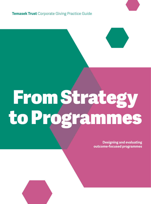**Temasek Trust** Corporate Giving Practice Guide



# From Strategy to Programmes

**Designing and evaluating outcome-focused programmes**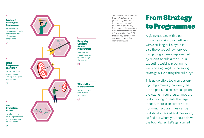#### Applying Strategy to Programme

To execute well means understanding the why and how of the giving programme **4 SP** Tem the of proper

 $\Omega$ 

#### Is the Programme Working?

How to tell if the programme is making the impact you planned **19** 3<br>**19 3**<br>**12** 5<br>**12** 5<br>**12** 6<br>**12** 

 $(12)$ 

The

 $\overline{\mathbf{S}}$ 

Evaluation Extent

How far and for

giving programme be evaluated?



#### *The Temasek Trust Corporate Giving Workshops bring grantmaking practitioners together to share good practices of grantmaking. Discussions at the workshops have been incorporated into this series of Practice Guides that can help continue the conversation and inform more grantmakers.*

**Designing** Outcomefocused Programmes Be sure your programmes are set up to tell you the results

What Is the Evaluation for? Audience is key. Who matters to you most?

**4 M**<br>**E**<br>Al W yd<br>(16

 $\bigcirc$ 

 $\overline{\mathbf{4}}$ 

**4 DOftP** Bopseth G

 $\binom{6}{}$ 

## From Strategy to Programmes

A giving strategy with clear outcomes is akin to a dartboard with a striking bull's-eye. It is also the exact point where your giving programmes, represented by arrows, should aim at. Thus, executing a giving programme well and aligning it to the giving strategy is like hitting the bull's-eye.

This guide offers tools on design ing programmes (or arrows!) that are on point. It also carries tips on evaluating if your programmes are really moving towards the target. Indeed, there is an extent as to how much programmes can be realistically tracked and measured, so find out where you should draw the boundaries. Let's get started!

5 The Edition Register Gr  $\left( \overline{n} \right)$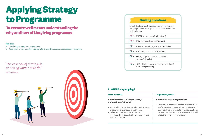## Applying Strategy to Programme

## To execute well means understanding the why and how of the giving programme

#### **Key ideas**

- a. Translating strategy into programmes.
- b. Keeping an eye on objectives, giving intent, activities, partners, process and resources.

### *"The essence of strategy is choosing what not to do." Michael Porter*



## Guiding questions Check this list when translating your giving strategy into programmes. Each question is further elaborated in this chapter. 1. **WHERE** are you going? **(objectives)** 2. **WHY** are you going there? **(intent)** 3. **WHAT** will you do to get there? **(activities)** 4. **WHO** will you work with? **(partners)** 5. HAVE you got adequate resources to get there? **(inputs)** 6. HOW will what you do actually get you there? **(how change occurs)**

#### 1. WHERE are you going?

| <b>Social outcomes</b>                                                                                                                                                                                           | <b>Corporate objectives</b>                                                                                                                                                                                                                            |
|------------------------------------------------------------------------------------------------------------------------------------------------------------------------------------------------------------------|--------------------------------------------------------------------------------------------------------------------------------------------------------------------------------------------------------------------------------------------------------|
| ▶ What benefits will it bring to society?<br>▶ Who will benefit from it?                                                                                                                                         | ▶ What's in it for your organisation?                                                                                                                                                                                                                  |
| • Meaningful change often requires a wide range<br>of activities and/or deep investments.<br>• Define your desired scale of change, but<br>recognise the relationship between intent and<br>scope of activities. | • For example, consider branding, public relations,<br>staff engagement or team bonding objectives.<br>• Don't be afraid to articulate corporate goals; it's<br>better to be clear about them because they will<br>affect the design of your strategy. |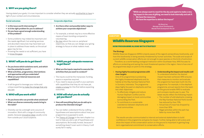#### 2. WHY are you going there?

Having stated your goals, it is now important to consider whether they are actually worthwhile to have in light of your context and circumstances.

| <b>Social outcomes</b>                                                                                                                                                                                                                                                                | <b>Corporate objectives</b>                                                                                                                                                                 |
|---------------------------------------------------------------------------------------------------------------------------------------------------------------------------------------------------------------------------------------------------------------------------------------|---------------------------------------------------------------------------------------------------------------------------------------------------------------------------------------------|
| $\triangleright$ Is this issue worth intervening in?<br>$\triangleright$ Is it the right problem for you to address?<br>▶ Do you have a good enough understanding<br>of the problem?                                                                                                  | $\triangleright$ Are there other and possibly better ways to<br>achieve your corporate objectives?<br>• For example, a retreat may be a more effective<br>means of team bonding compared to |
| • Some problems may indeed be important and<br>the needs significant, but existing services<br>and abundant resources may have been put<br>in place to address those needs, so the actual<br>gaps may be low.<br>• Knowing the needs is not sufficient; you have<br>to know the gaps. | volunteering.<br>• Be clear about the core vs. peripheral<br>objectives, so that you can design your giving<br>strategy to focus on what matters most.                                      |

#### 3. WHAT will you do to get there?

- } **Do you know which solutions work, and which has the potential to work?**
- } **What activities, programmes, interventions and approaches will you undertake?**
- } **What are your internal resources and capabilities?**
- It will be good to leverage your niche and unique expertise to make the change that only you can.

#### 4. WHO will you work with?

- } **Do you know who can provide what solutions?**
- } **What can diverse community assets bring to the table?**
- Diversity can be a strength and a source of innovation. Work with a range of community assets, because innovative ideas usually come from outside your usual suspects.

#### 5. HAVE you got adequate resources to get there?

- } **What are the inputs required to execute the activities that you want to conduct?**
- The inputs could be the manpower, funding, space or expertise required.
- If you need to equip yourself or your partners with capabilities that they do not have yet, create a runway for this first before expecting outcomes.

#### 6. HOW will what you do actually get you there?

- } **How will everything that you do add up to produce the intended change?**
- You can better understand this by crafting hypotheses and assumptions about how your programme is supposed to work.
- The Theory of Change in the next chapter is a tool to help you plot a set of hypotheses and assumptions. Be brutally honest, because if something doesn't even work in theory, it will surely fail in reality.

**"While we always want to reach for the sky and aspire to make a very big impact in the area of gifting, we need to look internally and ask if:** 1. **We have the resources**

2. **We have the expertise to deliver the impact"**

*Ms Sheryl Lee, Manager (Asset Development), Mandai Park Development Pte Ltd*

#### CASE STUDY

### Wildlife Reserves Singapore

#### HOW PROGRAMME ALIGNS WITH STRATEGY

#### **The Strategy**

Wildlife Reserves Singapore (WRS) is keenly aware of the region's extraordinary biodiversity, and how this biodiversity is being severely threatened by human activities. The scale and scope of current wildlife conservation efforts are not enough to save species on the brink of extinction.

Therefore, as a world-leading zoological institution within Southeast Asia, WRS focuses its efforts on protecting and saving the most threatened species in the region. Here is how one of its programmes stays on point to this strategy.

#### 1. **Having highly focused programmes with clear targets**

One of its programmes is protecting the highly threatened elephants and its habitat at the Way Kambas National Park in Sumatra, Indonesia. The programme stays highly focused on elephants and has two clear objectives:

- To effectively mitigate and reduce Human Elephant Conflict and its damaging impact on local communities surrounding the Park.
- To contribute to a sustainable coexistence between elephants and local communities.

#### 2. **Understanding the impact and results well**

To understand whether the desired impact has been achieved, WRS ensures that measures to monitor and evaluate the programme have been built into the programme. For example, in the elephant programme, annual reports from the team on the ground enable WRS to evaluate and compare results year to year. The latest results reflect the following impact:

- The number of wild elephants crossing the Way Kambas National Park's border has reduced by than 70%.
- Actual loss of crops has dropped by more than 90%.
- Illegal activities within the park has fallen by more than 80%.

The results are also communicated to internal and external stakeholders to build confidence in the programme and grow its impact. Further, being able to tell a story and show the impact of the conservation action on the ground is important in gaining longterm organisational commitment to conservation efforts.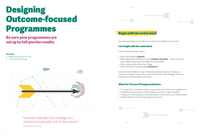## Designing Outcome-focused Programmes

## Be sure your programmes are set up to tell you the results

#### **Key ideas**

a. Begin with the end in mind b. The Theory of Change



*"However beautiful the strategy, you should occasionally look at the results." Sir Winston Churchill*



## Begin with the end in mind

How will everything you do add up to produce the change that you want?

#### Let's begin with the end in mind.

Clarity of the following is useful:

• What really matters **(impact)**.

6<br>6

- • What milestones will take you there (**outputs, outcomes** initial outcomes, intermediate outcomes and longer-term outcomes).
- What success looks like at each stage.
- • What information is meaningful **(indicators)**.

One of the most effective ways of expressing these ideas is to create your Theory of Change to depict the connections between the strategy, resources, programme and anticipated outcomes.

#### What the Theory of Change model does:

- It is a key tool in understanding the causal story to be told by your programme.
- It facilitates conversations on the strategy and how to make it happen.
- It helps you communicate the key information in one map to your stakeholders.
- It helps determine what is meaningful to evaluate.

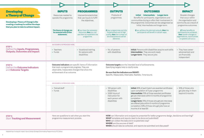| <b>Developing</b>                                                                                                                                  | <b>INPUTS</b>                                                                                                                                                                                                                                                                                                                                                                                          | <b>PROGRAMMES</b>                                                                               | <b>OUTPUTS</b>                                                                                                                                                                                                                                                                                                                                               | <b>OUTCOMES</b>                                                                                                                                                                                                                                                                                                                                                                                              | <b>IMPACT</b>                                                                                                                         |
|----------------------------------------------------------------------------------------------------------------------------------------------------|--------------------------------------------------------------------------------------------------------------------------------------------------------------------------------------------------------------------------------------------------------------------------------------------------------------------------------------------------------------------------------------------------------|-------------------------------------------------------------------------------------------------|--------------------------------------------------------------------------------------------------------------------------------------------------------------------------------------------------------------------------------------------------------------------------------------------------------------------------------------------------------------|--------------------------------------------------------------------------------------------------------------------------------------------------------------------------------------------------------------------------------------------------------------------------------------------------------------------------------------------------------------------------------------------------------------|---------------------------------------------------------------------------------------------------------------------------------------|
| a Theory of Change<br>Developing a Theory of Change is like<br>creating a roadmap to outline the steps<br>that you plan to take to achieve impact. | Resources needed to<br>operate the programme.                                                                                                                                                                                                                                                                                                                                                          | Interventions/activities<br>that use inputs to fulfill<br>the objectives.                       | Products of<br>programmes.                                                                                                                                                                                                                                                                                                                                   | Initial   Intermediate   Longer-term<br>Benefits for participants, organisations and<br>communities during or after their involvement in<br>the programme. Outcomes can be categorised as<br>initial, intermediate and longer-term.                                                                                                                                                                          | Broader changes<br>that occur within<br>the organisation and<br>community as a result of<br>programme outcomes.                       |
|                                                                                                                                                    | The theory of change can<br>be assessed with if-then<br>statements.                                                                                                                                                                                                                                                                                                                                    | If you have the necessary<br>resources, then you can<br>use them to implement the<br>programme. | If your programmes are fully<br>implemented and of high<br>quality, then the number of<br>services/products will be<br>delivered.                                                                                                                                                                                                                            | If you achieve the planned outputs, then the<br>participants will benefit in certain ways.                                                                                                                                                                                                                                                                                                                   | If these benefits to<br>participants are achieved,<br>then certain changes in<br>organisations, communities<br>or systems will occur. |
| STEP <sub>1:</sub>                                                                                                                                 | AN EXAMPLE IS PROVIDED HERE.                                                                                                                                                                                                                                                                                                                                                                           |                                                                                                 |                                                                                                                                                                                                                                                                                                                                                              |                                                                                                                                                                                                                                                                                                                                                                                                              |                                                                                                                                       |
| Define the Inputs, Programmes,<br><b>Outputs, Outcomes and Impact</b>                                                                              | • Teachers<br>• Funds                                                                                                                                                                                                                                                                                                                                                                                  | • Vocational training<br>for persons with<br>disabilities                                       | • No. of persons<br>with disabilities                                                                                                                                                                                                                                                                                                                        | <b>Initial:</b> Persons with disabilities acquire work skills<br>Intermediate: They are work-ready<br>Longer-term: They secure jobs                                                                                                                                                                                                                                                                          | • They have career<br>advancement and<br>are financially<br>independent                                                               |
| <b>STEP 2:</b><br>Define the <b>Outcome Indicators</b><br>and <b>Outcome Targets</b>                                                               | <b>Outcome indicators</b> are specific items of information<br>Outcome targets are the intended level of achievements.<br>that track a programme's progress. They are<br>Specifying targets help to clarify scale.<br>observable, measurable changes that show the<br>achievement of an outcome.<br>Be sure that the indicators are SMART:<br>Specific, Measurable, Attainable, Realistic, Time-bound. |                                                                                                 |                                                                                                                                                                                                                                                                                                                                                              |                                                                                                                                                                                                                                                                                                                                                                                                              |                                                                                                                                       |
|                                                                                                                                                    |                                                                                                                                                                                                                                                                                                                                                                                                        |                                                                                                 |                                                                                                                                                                                                                                                                                                                                                              |                                                                                                                                                                                                                                                                                                                                                                                                              |                                                                                                                                       |
|                                                                                                                                                    | • Trained staff<br>• Funds                                                                                                                                                                                                                                                                                                                                                                             |                                                                                                 | • 100 person with<br>disabilities<br>• 3,000 hours of<br>instruction for<br>each person with<br>disabilities                                                                                                                                                                                                                                                 | <b>Initial:</b> 90% of each batch are awarded certificates<br>upon completion of 2-year programme<br><b>Intermediate:</b> 70% of those awarded certificates<br>get job interviews within 6 months of programme<br>completion<br>Longer-term: 70% of those who get job interviews<br>are offered jobs within 6 months of programme<br>completion; 50% of those who get jobs have an<br>income of at least \$X | • 30% of those who<br>get jobs stay in them<br>beyond 6 months                                                                        |
| STEP 3:<br><b>Start Tracking and Measurement</b>                                                                                                   | Here are questions to ask when you start the<br>programme measurement process.                                                                                                                                                                                                                                                                                                                         |                                                                                                 | HOW can information and analyses be presented for better programme design, decisions and learning?<br><b>WHAT</b> templates and reports need to be done and submitted?<br><b>WHO</b> can collect the data and in a systematic way?<br><b>WHERE</b> are the sources of data?<br><b>WHEN</b> should data be collected, and reports be submitted and discussed? |                                                                                                                                                                                                                                                                                                                                                                                                              |                                                                                                                                       |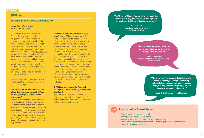#### SP Group

#### THE THEORY OF CHANGE AS A FOUNDATION

*Q&A with Amelia Champion, Head, Corporate Affairs*

SP Group (SP) was invited to try the Theory of Change on one of their programmes for senior citizens. This programme improves the quality of life of senior citizens (longer-term outcome) by reducing isolation, forming a community with and among them, and having them live safely and independently (intermediate outcomes). The staff volunteers, known as SP Heartworkers, ensure that the senior citizens are safe and healthy, and that they are empowered with skills and social support (initial outcomes). These outcomes are achieved through twicea-week lunches, digital clinics, energy efficiency and gas safety awareness and outings (activities).

We ask Amelia about her experience of relooking at the programme through its Theory of Change.

#### **Q: How did you and your team feel after sitting down together to map the Theory of Change onto your senior citizens programme?**

Our focus has become clearer after we think "backwards" – first by identifying the programme's longer-term outcomes, followed by the intermediate and then the initial outcomes. This was done with the objectives of our community partner in mind. In every programme, there are many good things that we can do. But by being clear of the outcomes at every stage, we stay focused.

**Q: What are your thoughts after putting your Theory of Change into practice?** I find that it lays the foundation for our programme to be on target. In fact, it's not too late to start using it at any phase of a programme. Our programme has been running for more than a year before we applied the Theory of Change.

In reality, many things can happen on the ground. For example, the indicators that we formulated can be adjusted to help us capture the results more accurately. During the programme's implementation, we also encounter other possibilities or outcomes that had not been apparent or planned initially. Hence, in practice, the Theory of Change can be dynamic: adjustments can be made, and we should be open if we later find it useful to refine our outcomes and indicators.

#### **Q: Will you recommend the Theory of Change as a tool for planning or evaluation to others?**

Yes. I intend to use it when I embark on a new programme with a different form of outreach and with social service users of a different demographic group.

**"The Theory of Change framework is very useful for planning new programmes and partnerships, and for helping us distill and articulate our purpose."**

> *Ms Ariel Tee, Executive, Group Corporate Communications, Keppel Corporation Limited*

> > **"The Theory of Change is a structured way of translating corporate giving strategies into programmes."**

*Ms Jeiel Tan, Manager, Employee Engagement, Human Resources Division, Singapore Airlines*

> **"There is no perfect framework, but it is useful to use the Theory of Change as a starting point to help us view our programmes, assess if they will help us reach our giving goals and make the necessary refinements."**

> > *Strategic Relations Department, ST Telemedia*

#### TIPS

#### **Tips on developing a Theory of Change:**

- Ensure that indicators are results-focused.
- Be targeted, be sharp. Less is better!
- Resist the temptation to collect data you may not need.
- Ensure that the indicators are relevant and SMART; and that the data can be generated at a reasonable cost.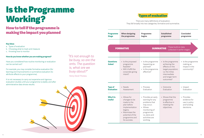## Is the Programme Working?

## How to tell if the programme is making the impact you planned

#### **Key ideas**

- a. Types of evaluation
- b. Choosing what to track and measure
- c. Knowing how to monitor

#### **How do you know whether you are making progress?**

Have you considered how routine monitoring or evaluation can be carried out?

For example, you may consider formative evaluation (for learning and improvement) or summative evaluation (to attribute effects to your programme).

It is not necessary to carry out expensive and rigorous evaluation studies until your programme is stable, and after administrative data shows results.

*"It's not enough to be busy, so are the ants. The question is, what are we busy about?"* 

*Henry David Thoreau*





There are many definitions of evaluation. They fall broadly into two categories, formative and summative.

| <b>Programme</b><br><b>Stage</b>    | <b>When designing</b><br>the programme                                                                                                                           | Programme<br>begins                                                                                                                                              | <b>Established</b><br>programme                                                                                                                  | <b>Concluded</b><br>programme                                            |  |
|-------------------------------------|------------------------------------------------------------------------------------------------------------------------------------------------------------------|------------------------------------------------------------------------------------------------------------------------------------------------------------------|--------------------------------------------------------------------------------------------------------------------------------------------------|--------------------------------------------------------------------------|--|
|                                     |                                                                                                                                                                  |                                                                                                                                                                  |                                                                                                                                                  |                                                                          |  |
| <b>FORMATIVE</b>                    |                                                                                                                                                                  | These build on data<br><b>SUMMATIVE</b><br>collected in earlier stages                                                                                           |                                                                                                                                                  |                                                                          |  |
|                                     |                                                                                                                                                                  |                                                                                                                                                                  |                                                                                                                                                  |                                                                          |  |
| <b>Questions</b><br><b>Asked</b>    | • Is the proposed<br>programme<br>feasible?<br>• Will it fulfill the<br>corporate giving<br>intent?                                                              | • Is the programme<br>happening as<br>planned?<br>• Is the programme<br>effective?                                                                               | • Is the programme<br>achieving the<br>effects on the<br>target population;<br>i.e. the initial,<br>intermediate<br>and longer-term<br>outcomes? | • Is the programme<br>making an<br>impact in the<br>community?           |  |
| <b>Type of</b><br><b>Evaluation</b> | • Needs<br>Assessment                                                                                                                                            | • Process<br>Evaluation                                                                                                                                          | • Outcome<br>Evaluation                                                                                                                          | • Impact<br>Evaluation                                                   |  |
| <b>Why It Is</b><br><b>Useful</b>   | • Allows for<br>changes to be<br>made to the<br>plan before<br>implementation<br>begins.<br>• Maximises the<br>potential of the<br>programme and<br>its success. | • Provides an early<br>warning for any<br>problems that<br>may occur.<br>• Allows<br>monitoring of<br>programme;<br>i.e. plans and<br>activities are<br>working. | • Shows that the<br>programme<br>is effective in<br>meeting the<br>objectives.                                                                   | • Provides<br>evidence for<br>use in policy<br>and funding<br>decisions. |  |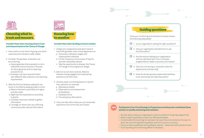

### Choosing what to track and measure

#### **Consider these when choosing what to track and measure based on the Theory of Change:**

- 1. Have clarity on the intent of giving and which outcomes and indicators really matter.
- 2. Consider the grantees. Evaluation can be unnerving.
	- a. Assure grantees that evaluation is not a staff performance exercise. It focuses on the programme and is a learning process for all.
	- b. Grantees may have several funders with different data collection and reporting requirements.
- 3. Walk the fine line between asking for too much or too little by keeping these in mind: a. Balance between practicality and rigour, and also scale.
	- b. Right-size the expectations according to grants.
	- c. Consider resources needed to gather information.
	- d. Leverage on others who are collecting community-wide national information.



## Knowing how to monitor

#### **Consider these when deciding on how to monitor:**

- 1. Design your programme evaluation hand-inhand with grantees. Have mutual agreement on:
	- a. Outcomes, indicators, targets and
- measurement methods.
- b. Format, frequency and purpose of reports and site visits/observations.
- c. Take the opportunity to sharpen the Theory of Change or the programme design.
- 4. See it an an art and a science. Balance between being engaged and empowering partners to do their work.
- 5. Develop paper monitoring based on reports from partners, for example:
- a. Attendance sheets
- b. Observations and assessments by facilitators
- c. Feedback forms
- d. Focused group discussions
- 5. Carry out site-visits, where you can personally experience the community and impact.



- $\mathbf{S}$  3. Are the reports helping your organisation and your grantees learn how to sharpen programmes for better outcomes and impact?
- $\mathbf{\leq}$  4. Does the monitoring or evaluation allow for adjustments and learning?
- $\mathbf{S}$  5. Does the funder-grantee relationship facilitate trust, and honest and safe discussion?

#### **Participants of our** *From Strategy to Programmes* **workshop also contributed these pointers on quality monitoring and evaluation.**

TIPS

- Be clear about what your organisation wants to achieve in its giving programmes.
- Make it easy for grantees to report by offering templates.
- Contextualise the reporting, for example, the report has to be done but the way it is done can vary from grantee to grantee, and from country to country.
- Focus on both quantitative and qualitative reports these help both parties to learn.
- Fund reporting and monitoring efforts if necessary.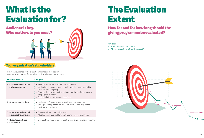## What Is the Evaluation for?

Audience is key. Who matters to you most?



## Your organisation's stakeholders

Identify the audience of the evaluation findings as they determine the purpose and scope of the evaluation. The following tool will help.

| <b>Primary Audience</b>                               | <b>Purpose</b>                                                                                                                                                                                                                                                                    |
|-------------------------------------------------------|-----------------------------------------------------------------------------------------------------------------------------------------------------------------------------------------------------------------------------------------------------------------------------------|
| 1. Company, funder of the<br>giving programme         | • Account for resources (funds and manpower)<br>• Understand if the programme is achieving its outcomes and in<br>turn, the intent of giving<br>• Sharpen the programme to meet community needs and achieve<br>the purpose of giving<br>• Facilitate better grantmaking decisions |
| 2. Grantee organisations                              | • Understand if the programme is achieving its outcomes<br>• Strengthen the programme model to meet community needs,<br>replicate and scale up                                                                                                                                    |
| 3. Other grantmakers and<br>players in the same space | • Share good practices and lessons<br>• Mobilise resources and form partnerships for collaborations                                                                                                                                                                               |
| 4. Regulatory partners<br>5. Community                | • Demonstrate value of funder and the programme to the community                                                                                                                                                                                                                  |

## The Evaluation Extent

## How far and for how long should the giving programme be evaluated?

#### **Key ideas**

- a. Attribution and contribution
- b. When is evaluation not worth the cost?

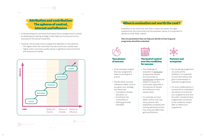## Attribution and contribution: The spheres of control, interest and influence

- Understanding the outcomes and impact of your programmes is critical to assessing your giving strategy. It also helps you to account to the business for the social investment.
- However, the success of your programme depends on many factors.
	- $\rightarrow$  The higher-order the outcomes, the less control you usually have.
	- $\cdot$  Higher-order outcomes usually require a significant amount of time and resources to realise.



### When is evaluation not worth the cost?

Evaluation is not worth the cost when it does not answer the right questions for the community and the business. Hence, it is important to decide on what really matters.

> The level of control over the conditions

evaluation is attribution (programme caused the outcomes) vs. contribution (programme helped to cause the outcomes), especially in the spheres of interest and influence in the results chain.

• For example, we have better control over how many persons with disabilities complete their training (attribution) than how many job offers they get (contribution).

for success

• The challenge of

#### **Here are parameters that can help you decide on how long your programme should be evaluated:**



#### Your picture of success

- • As an example, imagine that your programme helps to enroll girls in school.
- Decide which success indicators matter most to you given your strategy and resources:
- ê Completion of basic education; or
- ê Enrollment into universities; or
- ê Getting good jobs thereafter.



#### Partners and ecosystem

- No one giving programme can solve all the problems. It is essential to work with others who give to downstream or upstream programmes.
- For such collaborations, it is essential to understand the sphere of control for your programme and how the other complementary programmes contribute to the collective impact after or before your programme.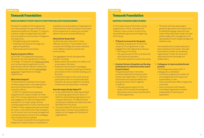### Temasek Foundation

#### HOW AN IMPACT STUDY HELPS TO BETTER EVALUATE PROGRAMMES

Temasek Foundation's (TF) programmes are made possible through philanthropic endowments gifted by Temasek. TF supports a diverse range of programmes that uplift lives and advance communities in Singapore and beyond by:

- Strengthening social resilience
- Fostering international exchange and regional capabilities
- Advancing science and nature

#### **Regular Evaluation Efforts**

Since 2007, TF's programme evaluation framework has been guided by its Theory of Change. TF measures the initial outcomes, such as learning and application by the participants and their efforts to share with fellow professionals; and the intermediate outcome of organisational changes implemented.

#### **What About Impact?**

TF had wanted to understand the impact of these programmes in the organisations and communities beyond the regular evaluation efforts.

In 2015, TF selected some signature programmes for impact studies. Of these were TF's nursing programmes. A consultant was engaged as an external independent evaluator for an impact study of three nursing programmes in China, Indonesia and Thailand. These programmes had concluded for a year or two at the time. They included a mix of content such as nursing management, nursing educationcurriculum and pedagogy and nursing skills and practice.

The one-year study with the consultant was designed to measure factors of satisfaction,

scalability and sustainability of organisational enhancements, brand perception and impact of the programme (in areas such as better patient care and increased efficiency).

#### **What Did the Study Find?**

As the study was conducted in three different countries, TF was careful not to compare the findings and remain sensitive to the different systems, policies and environments.

The aggregated results were generally positive, including:

- Better patient care quality and safety, such as decrease in fall rates.
- Sustained improvement to pedagogy, curriculum, standard operating procedures and policies in the 12 months leading up to the study
- Continued impact on the community as participants went on to share what they had learnt at various platforms including conferences and association meetings.

#### **How the Impact Study Helped TF**

- a. It was useful that the study was pitched as a learning opportunity for all (i.e. TF itself, the participating organisations and nursing institutions). TF offered further workshops to address the needs that were identified from the study.
- b. The study helped TF account to the TF Board, learn to enhance its programme design and re-engage with the partner organisations.

#### CASE STUDY

### Temasek Foundation

#### KEEPING STAKEHOLDERS IN MIND

In the impact study of the three nursing programmes in China, Indonesia and Thailand, it was crucial to involve three key stakeholder groups at the beginning of the study:

- 1. **TF Board: to account for the grants**  The Board is always keen to know the
- impact of TF's programmes. It was
- engaged from the beginning to discuss: • The scope of the study.
- 
- The appointment of the consultant and other external evaluators.
- The funds needed to conduct the study.

#### 2. **Grantee Partners (Hospitals and Nursing Institutions): to understand what makes for good impact**

The grantee partners in the three countries selected for the study were another key stakeholder. TF met them individually and in groups before and during the study to learn together. In addition:

• They gave good support for the study, which included focused group discussions and surveys of participants of the programmes.

• The study and discussions gave grantee organisations the opportunity to identify emerging needs and new areas of learning; these needs included patient safety, pain management and specialisations such as gerontology and palliative care.

The hospitals and nursing institutions were receptive to the study. They also participated in follow-up workshops organised by TF after the study and welcomed further exchange and collaboration.

#### 3. **Colleagues: to improve philanthropic practice**

The findings were shared with TF colleagues to understand:

- How future programme models can be strengthened with impact and sustainability in view.
- How cultural factors affect programme outcomes.
- How connections with leaders and related organisations bolster sustainability of learning and application.